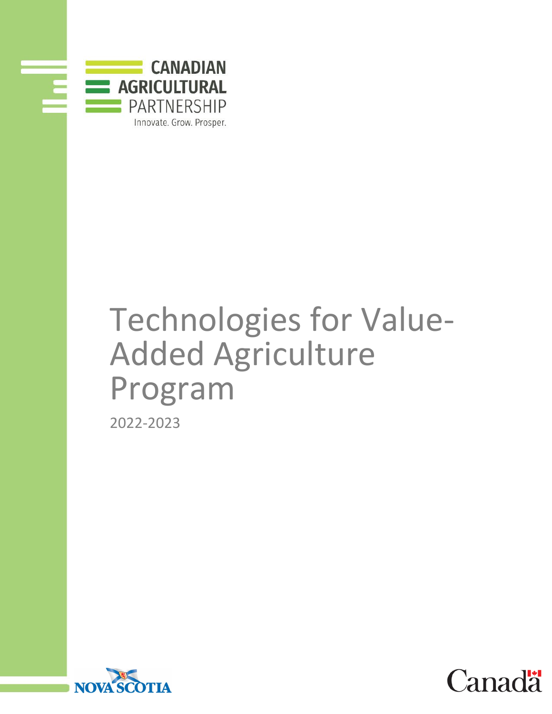

# Technologies for Value- Added Agriculture Program 2022-2023



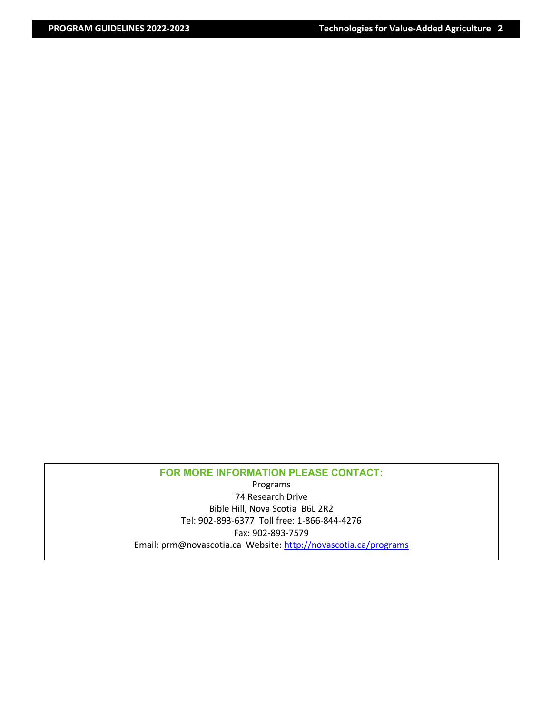## **FOR MORE INFORMATION PLEASE CONTACT:**

Programs 74 Research Drive Bible Hill, Nova Scotia B6L 2R2 Tel: 902-893-6377 Toll free: 1-866-844-4276 Fax: 902-893-7579 Email: prm@novascotia.ca Website: http://novascotia.ca/programs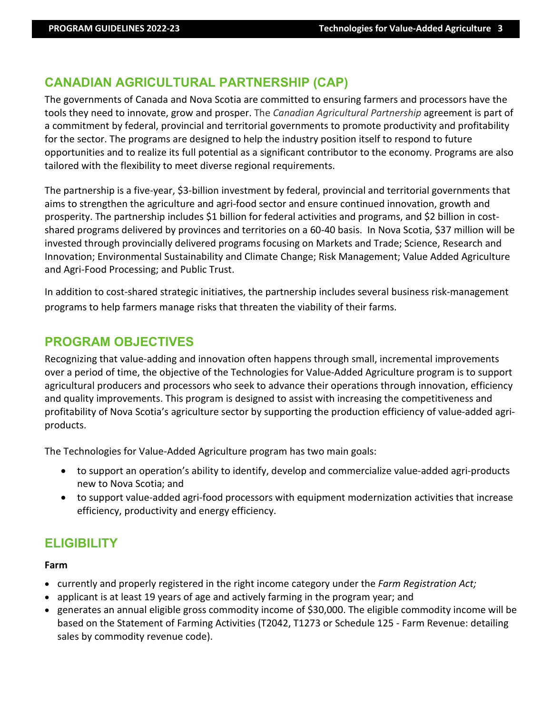# **CANADIAN AGRICULTURAL PARTNERSHIP (CAP)**

The governments of Canada and Nova Scotia are committed to ensuring farmers and processors have the tools they need to innovate, grow and prosper. The *Canadian Agricultural Partnership* agreement is part of a commitment by federal, provincial and territorial governments to promote productivity and profitability for the sector. The programs are designed to help the industry position itself to respond to future opportunities and to realize its full potential as a significant contributor to the economy. Programs are also tailored with the flexibility to meet diverse regional requirements.

The partnership is a five-year, \$3-billion investment by federal, provincial and territorial governments that aims to strengthen the agriculture and agri-food sector and ensure continued innovation, growth and prosperity. The partnership includes \$1 billion for federal activities and programs, and \$2 billion in costshared programs delivered by provinces and territories on a 60-40 basis. In Nova Scotia, \$37 million will be invested through provincially delivered programs focusing on Markets and Trade; Science, Research and Innovation; Environmental Sustainability and Climate Change; Risk Management; Value Added Agriculture and Agri-Food Processing; and Public Trust.

In addition to cost-shared strategic initiatives, the partnership includes several business risk-management programs to help farmers manage risks that threaten the viability of their farms.

# **PROGRAM OBJECTIVES**

Recognizing that value-adding and innovation often happens through small, incremental improvements over a period of time, the objective of the Technologies for Value-Added Agriculture program is to support agricultural producers and processors who seek to advance their operations through innovation, efficiency and quality improvements. This program is designed to assist with increasing the competitiveness and profitability of Nova Scotia's agriculture sector by supporting the production efficiency of value-added agriproducts.

The Technologies for Value-Added Agriculture program has two main goals:

- to support an operation's ability to identify, develop and commercialize value-added agri-products new to Nova Scotia; and
- to support value-added agri-food processors with equipment modernization activities that increase efficiency, productivity and energy efficiency.

# **ELIGIBILITY**

## **Farm**

- currently and properly registered in the right income category under the *Farm Registration Act;*
- applicant is at least 19 years of age and actively farming in the program year; and
- generates an annual eligible gross commodity income of \$30,000. The eligible commodity income will be based on the Statement of Farming Activities (T2042, T1273 or Schedule 125 - Farm Revenue: detailing sales by commodity revenue code).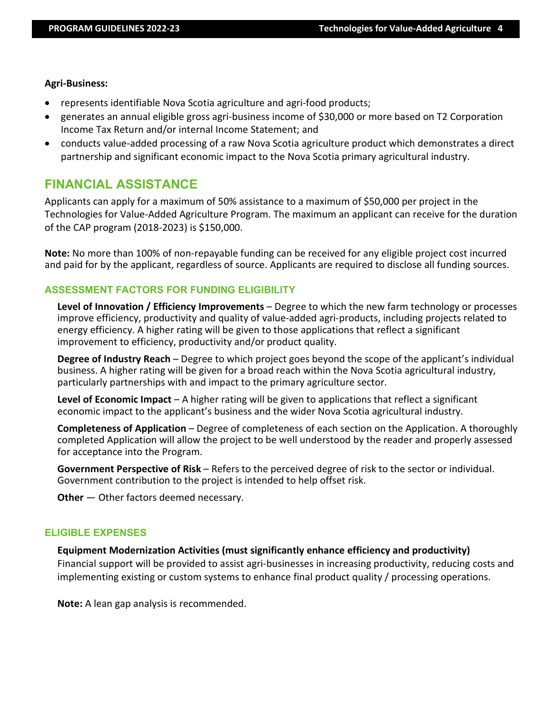#### **Agri-Business:**

- represents identifiable Nova Scotia agriculture and agri-food products;
- generates an annual eligible gross agri-business income of \$30,000 or more based on T2 Corporation Income Tax Return and/or internal Income Statement; and
- conducts value-added processing of a raw Nova Scotia agriculture product which demonstrates a direct partnership and significant economic impact to the Nova Scotia primary agricultural industry.

## **FINANCIAL ASSISTANCE**

Applicants can apply for a maximum of 50% assistance to a maximum of \$50,000 per project in the Technologies for Value-Added Agriculture Program. The maximum an applicant can receive for the duration of the CAP program (2018-2023) is \$150,000.

**Note:** No more than 100% of non-repayable funding can be received for any eligible project cost incurred and paid for by the applicant, regardless of source. Applicants are required to disclose all funding sources.

## **ASSESSMENT FACTORS FOR FUNDING ELIGIBILITY**

**Level of Innovation / Efficiency Improvements** – Degree to which the new farm technology or processes improve efficiency, productivity and quality of value-added agri-products, including projects related to energy efficiency. A higher rating will be given to those applications that reflect a significant improvement to efficiency, productivity and/or product quality.

**Degree of Industry Reach** – Degree to which project goes beyond the scope of the applicant's individual business. A higher rating will be given for a broad reach within the Nova Scotia agricultural industry, particularly partnerships with and impact to the primary agriculture sector.

**Level of Economic Impact** – A higher rating will be given to applications that reflect a significant economic impact to the applicant's business and the wider Nova Scotia agricultural industry.

**Completeness of Application** – Degree of completeness of each section on the Application. A thoroughly completed Application will allow the project to be well understood by the reader and properly assessed for acceptance into the Program.

**Government Perspective of Risk** – Refers to the perceived degree of risk to the sector or individual. Government contribution to the project is intended to help offset risk.

**Other** — Other factors deemed necessary.

#### **ELIGIBLE EXPENSES**

## **Equipment Modernization Activities (must significantly enhance efficiency and productivity)**

Financial support will be provided to assist agri-businesses in increasing productivity, reducing costs and implementing existing or custom systems to enhance final product quality / processing operations.

**Note:** A lean gap analysis is recommended.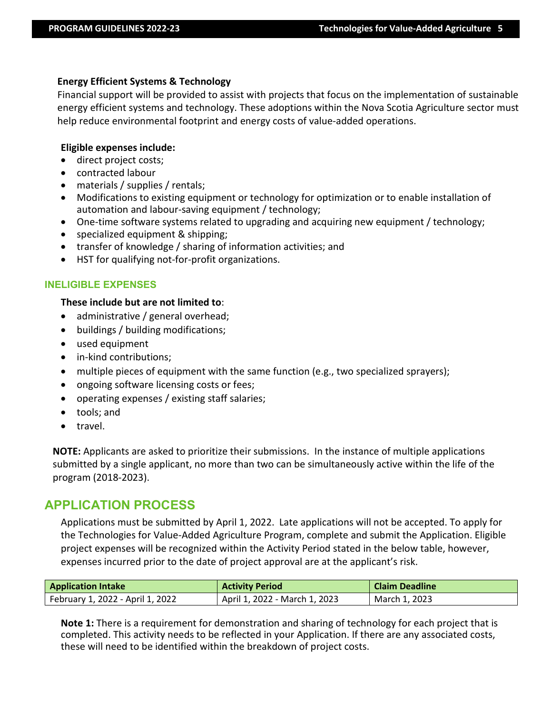## **Energy Efficient Systems & Technology**

Financial support will be provided to assist with projects that focus on the implementation of sustainable energy efficient systems and technology. These adoptions within the Nova Scotia Agriculture sector must help reduce environmental footprint and energy costs of value-added operations.

## **Eligible expenses include:**

- direct project costs;
- contracted labour
- materials / supplies / rentals;
- Modifications to existing equipment or technology for optimization or to enable installation of automation and labour-saving equipment / technology;
- One-time software systems related to upgrading and acquiring new equipment / technology;
- specialized equipment & shipping;
- transfer of knowledge / sharing of information activities; and
- HST for qualifying not-for-profit organizations.

## **INELIGIBLE EXPENSES**

## **These include but are not limited to**:

- administrative / general overhead;
- buildings / building modifications;
- used equipment
- in-kind contributions;
- multiple pieces of equipment with the same function (e.g., two specialized sprayers);
- ongoing software licensing costs or fees;
- operating expenses / existing staff salaries;
- tools; and
- travel.

**NOTE:** Applicants are asked to prioritize their submissions. In the instance of multiple applications submitted by a single applicant, no more than two can be simultaneously active within the life of the program (2018-2023).

## **APPLICATION PROCESS**

Applications must be submitted by April 1, 2022. Late applications will not be accepted. To apply for the Technologies for Value-Added Agriculture Program, complete and submit the Application. Eligible project expenses will be recognized within the Activity Period stated in the below table, however, expenses incurred prior to the date of project approval are at the applicant's risk.

| <b>Application Intake</b>        | <b>Activity Period</b>        | <b>Claim Deadline</b> |
|----------------------------------|-------------------------------|-----------------------|
| February 1, 2022 - April 1, 2022 | April 1, 2022 - March 1, 2023 | March 1, 2023         |

**Note 1:** There is a requirement for demonstration and sharing of technology for each project that is completed. This activity needs to be reflected in your Application. If there are any associated costs, these will need to be identified within the breakdown of project costs.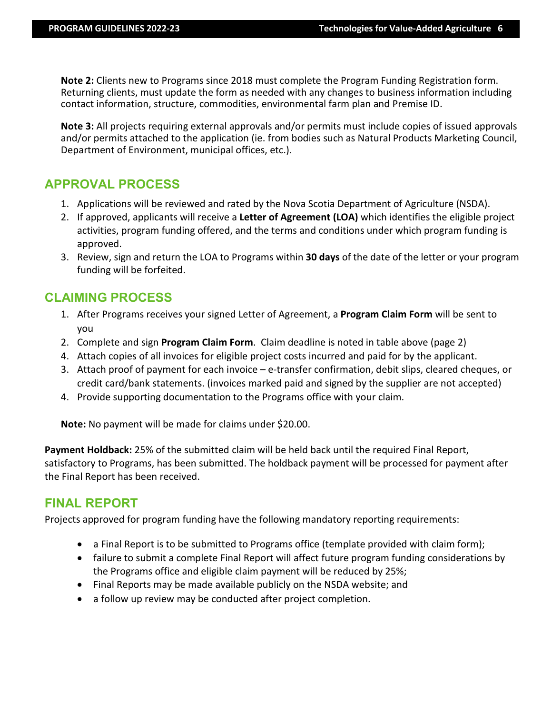**Note 2:** Clients new to Programs since 2018 must complete the Program Funding Registration form. Returning clients, must update the form as needed with any changes to business information including contact information, structure, commodities, environmental farm plan and Premise ID.

**Note 3:** All projects requiring external approvals and/or permits must include copies of issued approvals and/or permits attached to the application (ie. from bodies such as Natural Products Marketing Council, Department of Environment, municipal offices, etc.).

## **APPROVAL PROCESS**

- 1. Applications will be reviewed and rated by the Nova Scotia Department of Agriculture (NSDA).
- 2. If approved, applicants will receive a **Letter of Agreement (LOA)** which identifies the eligible project activities, program funding offered, and the terms and conditions under which program funding is approved.
- 3. Review, sign and return the LOA to Programs within **30 days** of the date of the letter or your program funding will be forfeited.

## **CLAIMING PROCESS**

- 1. After Programs receives your signed Letter of Agreement, a **Program Claim Form** will be sent to you
- 2. Complete and sign **Program Claim Form**. Claim deadline is noted in table above (page 2)
- 4. Attach copies of all invoices for eligible project costs incurred and paid for by the applicant.
- 3. Attach proof of payment for each invoice e-transfer confirmation, debit slips, cleared cheques, or credit card/bank statements. (invoices marked paid and signed by the supplier are not accepted)
- 4. Provide supporting documentation to the Programs office with your claim.

**Note:** No payment will be made for claims under \$20.00.

**Payment Holdback:** 25% of the submitted claim will be held back until the required Final Report, satisfactory to Programs, has been submitted. The holdback payment will be processed for payment after the Final Report has been received.

# **FINAL REPORT**

Projects approved for program funding have the following mandatory reporting requirements:

- a Final Report is to be submitted to Programs office (template provided with claim form);
- failure to submit a complete Final Report will affect future program funding considerations by the Programs office and eligible claim payment will be reduced by 25%;
- Final Reports may be made available publicly on the NSDA website; and
- a follow up review may be conducted after project completion.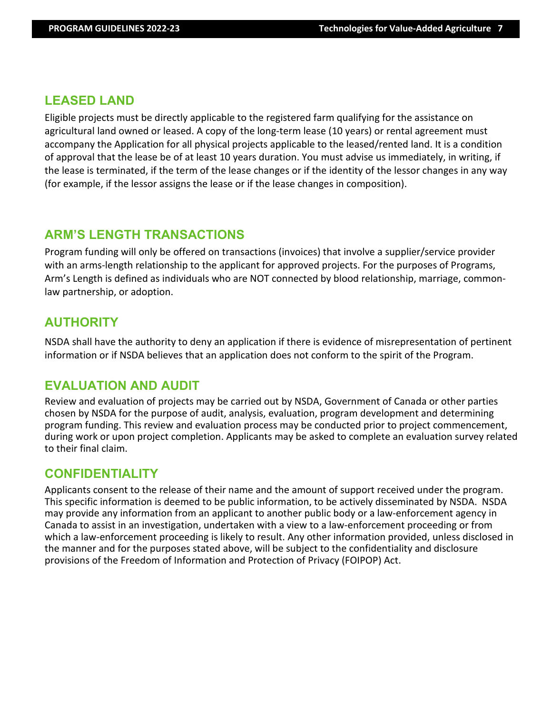## **LEASED LAND**

Eligible projects must be directly applicable to the registered farm qualifying for the assistance on agricultural land owned or leased. A copy of the long-term lease (10 years) or rental agreement must accompany the Application for all physical projects applicable to the leased/rented land. It is a condition of approval that the lease be of at least 10 years duration. You must advise us immediately, in writing, if the lease is terminated, if the term of the lease changes or if the identity of the lessor changes in any way (for example, if the lessor assigns the lease or if the lease changes in composition).

## **ARM'S LENGTH TRANSACTIONS**

Program funding will only be offered on transactions (invoices) that involve a supplier/service provider with an arms-length relationship to the applicant for approved projects. For the purposes of Programs, Arm's Length is defined as individuals who are NOT connected by blood relationship, marriage, commonlaw partnership, or adoption.

## **AUTHORITY**

NSDA shall have the authority to deny an application if there is evidence of misrepresentation of pertinent information or if NSDA believes that an application does not conform to the spirit of the Program.

# **EVALUATION AND AUDIT**

Review and evaluation of projects may be carried out by NSDA, Government of Canada or other parties chosen by NSDA for the purpose of audit, analysis, evaluation, program development and determining program funding. This review and evaluation process may be conducted prior to project commencement, during work or upon project completion. Applicants may be asked to complete an evaluation survey related to their final claim.

## **CONFIDENTIALITY**

Applicants consent to the release of their name and the amount of support received under the program. This specific information is deemed to be public information, to be actively disseminated by NSDA. NSDA may provide any information from an applicant to another public body or a law-enforcement agency in Canada to assist in an investigation, undertaken with a view to a law-enforcement proceeding or from which a law-enforcement proceeding is likely to result. Any other information provided, unless disclosed in the manner and for the purposes stated above, will be subject to the confidentiality and disclosure provisions of the Freedom of Information and Protection of Privacy (FOIPOP) Act.